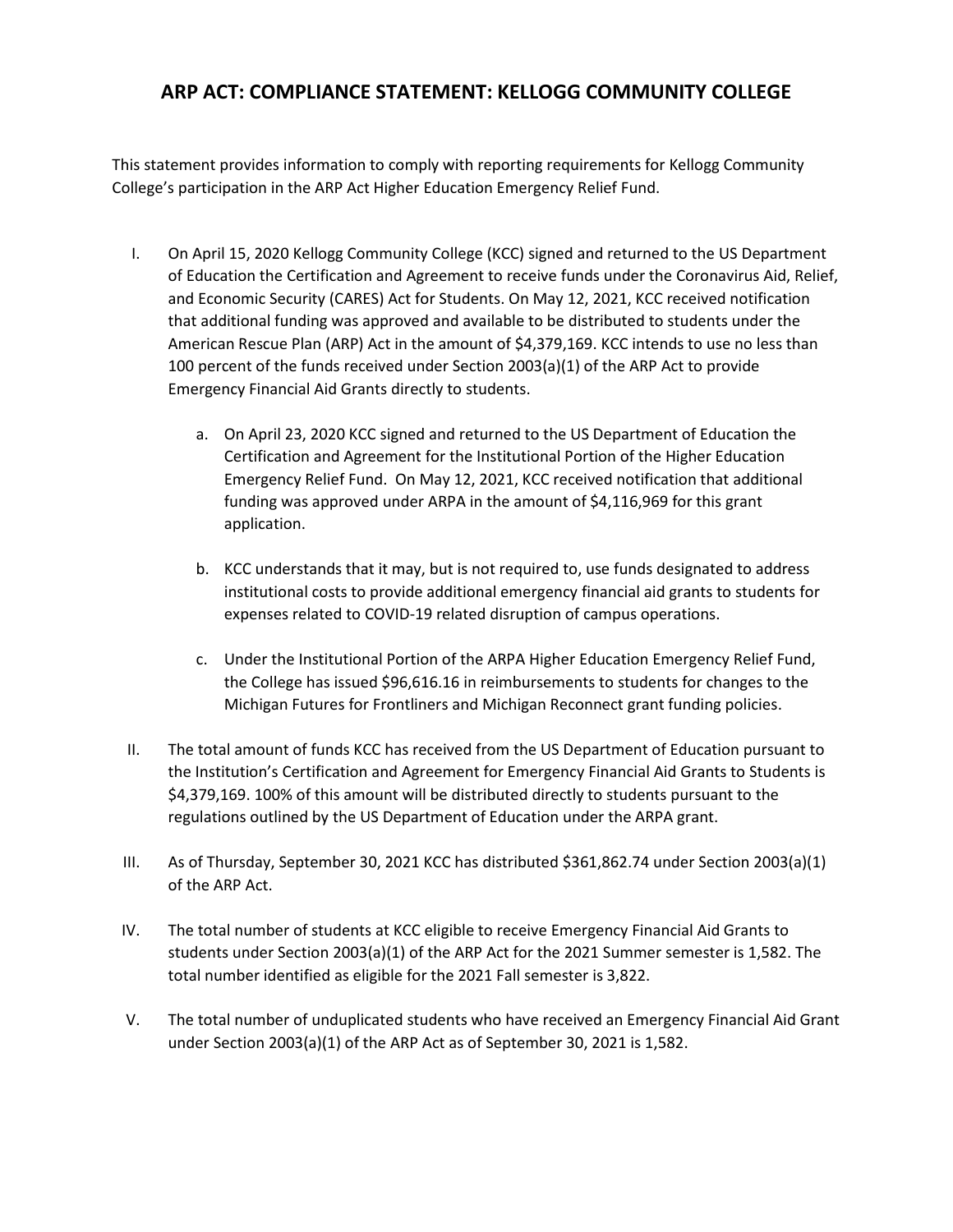## **ARP ACT: COMPLIANCE STATEMENT: KELLOGG COMMUNITY COLLEGE**

This statement provides information to comply with reporting requirements for Kellogg Community College's participation in the ARP Act Higher Education Emergency Relief Fund.

- I. On April 15, 2020 Kellogg Community College (KCC) signed and returned to the US Department of Education the Certification and Agreement to receive funds under the Coronavirus Aid, Relief, and Economic Security (CARES) Act for Students. On May 12, 2021, KCC received notification that additional funding was approved and available to be distributed to students under the American Rescue Plan (ARP) Act in the amount of \$4,379,169. KCC intends to use no less than 100 percent of the funds received under Section 2003(a)(1) of the ARP Act to provide Emergency Financial Aid Grants directly to students.
	- a. On April 23, 2020 KCC signed and returned to the US Department of Education the Certification and Agreement for the Institutional Portion of the Higher Education Emergency Relief Fund. On May 12, 2021, KCC received notification that additional funding was approved under ARPA in the amount of \$4,116,969 for this grant application.
	- b. KCC understands that it may, but is not required to, use funds designated to address institutional costs to provide additional emergency financial aid grants to students for expenses related to COVID-19 related disruption of campus operations.
	- c. Under the Institutional Portion of the ARPA Higher Education Emergency Relief Fund, the College has issued \$96,616.16 in reimbursements to students for changes to the Michigan Futures for Frontliners and Michigan Reconnect grant funding policies.
- II. The total amount of funds KCC has received from the US Department of Education pursuant to the Institution's Certification and Agreement for Emergency Financial Aid Grants to Students is \$4,379,169. 100% of this amount will be distributed directly to students pursuant to the regulations outlined by the US Department of Education under the ARPA grant.
- III. As of Thursday, September 30, 2021 KCC has distributed \$361,862.74 under Section 2003(a)(1) of the ARP Act.
- IV. The total number of students at KCC eligible to receive Emergency Financial Aid Grants to students under Section 2003(a)(1) of the ARP Act for the 2021 Summer semester is 1,582. The total number identified as eligible for the 2021 Fall semester is 3,822.
- V. The total number of unduplicated students who have received an Emergency Financial Aid Grant under Section 2003(a)(1) of the ARP Act as of September 30, 2021 is 1,582.